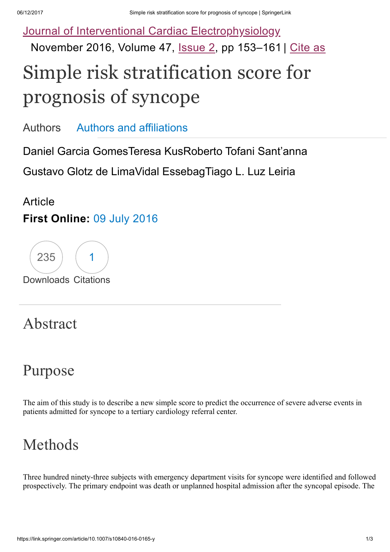Journal of Interventional Cardiac [Electrophysiology](https://link.springer.com/journal/10840) November 2016, Volume 47, [Issue](https://link.springer.com/journal/10840/47/2/page/1) 2, pp 153-161 | [Cite](https://link.springer.com/article/10.1007/s10840-016-0165-y#citeas) as

# Simple risk stratification score for prognosis of syncope

[Authors](https://link.springer.com/article/10.1007/s10840-016-0165-y#authors) Authors and [affiliations](https://link.springer.com/article/10.1007/s10840-016-0165-y#authorsandaffiliations)

Daniel Garcia GomesTeresa KusRoberto Tofani Sant'anna

Gustavo Glotz de LimaVidal EssebagTiago L. Luz Leiri[a](mailto:drleiria@gmail.com)

#### **Article** First Online: 09 July [2016](https://link.springer.com/article/10.1007/s10840-016-0165-y#article-dates-history)



#### Abstract

### Purpose

The aim of this study is to describe a new simple score to predict the occurrence of severe adverse events in patients admitted for syncope to a tertiary cardiology referral center.

### Methods

Three hundred ninety-three subjects with emergency department visits for syncope were identified and followed prospectively. The primary endpoint was death or unplanned hospital admission after the syncopal episode. The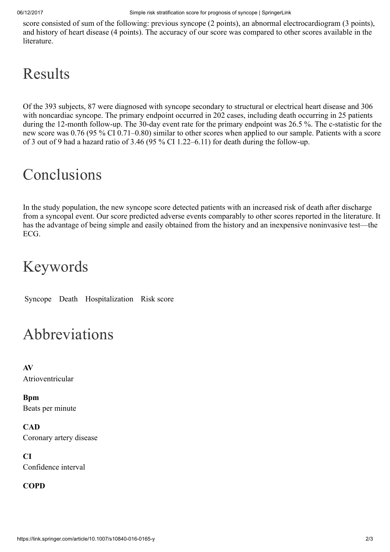score consisted of sum of the following: previous syncope (2 points), an abnormal electrocardiogram (3 points), and history of heart disease (4 points). The accuracy of our score was compared to other scores available in the **literature** 

## Results

Of the 393 subjects, 87 were diagnosed with syncope secondary to structural or electrical heart disease and 306 with noncardiac syncope. The primary endpoint occurred in 202 cases, including death occurring in 25 patients during the 12-month follow-up. The 30-day event rate for the primary endpoint was 26.5 %. The c-statistic for the new score was 0.76 (95 % CI 0.71–0.80) similar to other scores when applied to our sample. Patients with a score of 3 out of 9 had a hazard ratio of 3.46 (95 % CI 1.22–6.11) for death during the follow-up.

## Conclusions

In the study population, the new syncope score detected patients with an increased risk of death after discharge from a syncopal event. Our score predicted adverse events comparably to other scores reported in the literature. It has the advantage of being simple and easily obtained from the history and an inexpensive noninvasive test—the ECG.

### Keywords

Syncope Death Hospitalization Risk score

#### Abbreviations

AV Atrioventricular

Bpm Beats per minute

**CAD** Coronary artery disease

CI Confidence interval

#### **COPD**